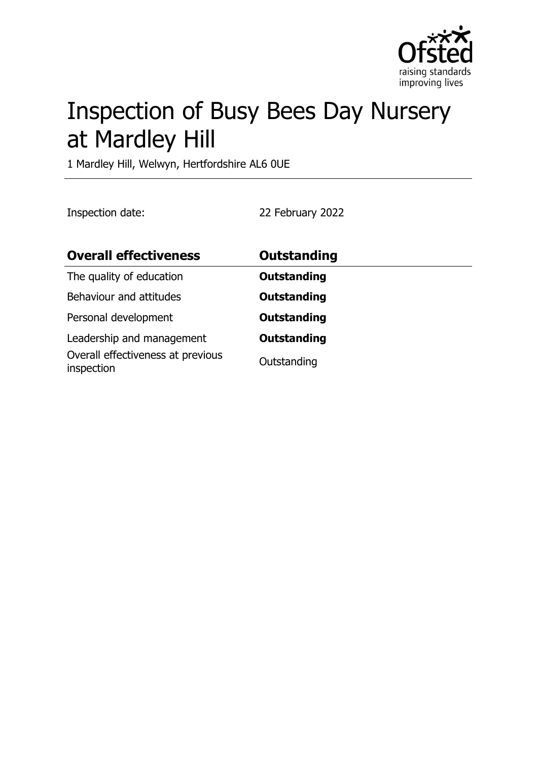

# Inspection of Busy Bees Day Nursery at Mardley Hill

1 Mardley Hill, Welwyn, Hertfordshire AL6 0UE

Inspection date: 22 February 2022

| <b>Overall effectiveness</b>                                                 | <b>Outstanding</b>                |
|------------------------------------------------------------------------------|-----------------------------------|
| The quality of education                                                     | <b>Outstanding</b>                |
| Behaviour and attitudes                                                      | <b>Outstanding</b>                |
| Personal development                                                         | <b>Outstanding</b>                |
| Leadership and management<br>Overall effectiveness at previous<br>inspection | <b>Outstanding</b><br>Outstanding |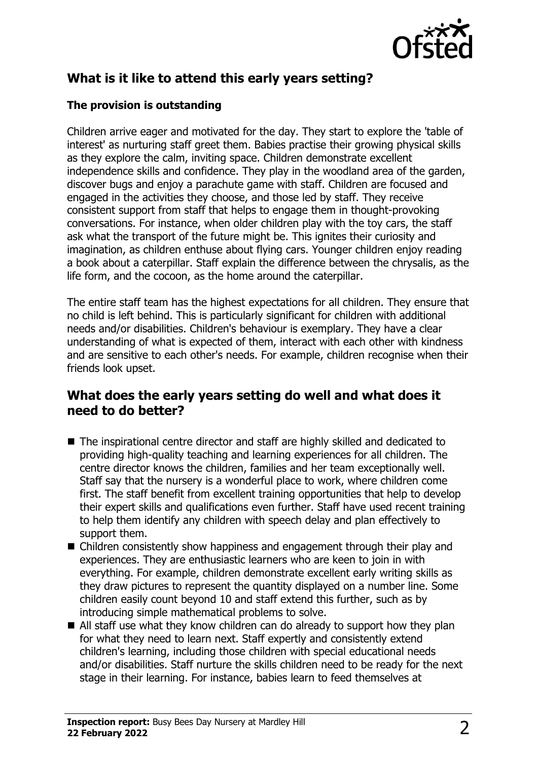

# **What is it like to attend this early years setting?**

### **The provision is outstanding**

Children arrive eager and motivated for the day. They start to explore the 'table of interest' as nurturing staff greet them. Babies practise their growing physical skills as they explore the calm, inviting space. Children demonstrate excellent independence skills and confidence. They play in the woodland area of the garden, discover bugs and enjoy a parachute game with staff. Children are focused and engaged in the activities they choose, and those led by staff. They receive consistent support from staff that helps to engage them in thought-provoking conversations. For instance, when older children play with the toy cars, the staff ask what the transport of the future might be. This ignites their curiosity and imagination, as children enthuse about flying cars. Younger children enjoy reading a book about a caterpillar. Staff explain the difference between the chrysalis, as the life form, and the cocoon, as the home around the caterpillar.

The entire staff team has the highest expectations for all children. They ensure that no child is left behind. This is particularly significant for children with additional needs and/or disabilities. Children's behaviour is exemplary. They have a clear understanding of what is expected of them, interact with each other with kindness and are sensitive to each other's needs. For example, children recognise when their friends look upset.

## **What does the early years setting do well and what does it need to do better?**

- $\blacksquare$  The inspirational centre director and staff are highly skilled and dedicated to providing high-quality teaching and learning experiences for all children. The centre director knows the children, families and her team exceptionally well. Staff say that the nursery is a wonderful place to work, where children come first. The staff benefit from excellent training opportunities that help to develop their expert skills and qualifications even further. Staff have used recent training to help them identify any children with speech delay and plan effectively to support them.
- $\blacksquare$  Children consistently show happiness and engagement through their play and experiences. They are enthusiastic learners who are keen to join in with everything. For example, children demonstrate excellent early writing skills as they draw pictures to represent the quantity displayed on a number line. Some children easily count beyond 10 and staff extend this further, such as by introducing simple mathematical problems to solve.
- All staff use what they know children can do already to support how they plan for what they need to learn next. Staff expertly and consistently extend children's learning, including those children with special educational needs and/or disabilities. Staff nurture the skills children need to be ready for the next stage in their learning. For instance, babies learn to feed themselves at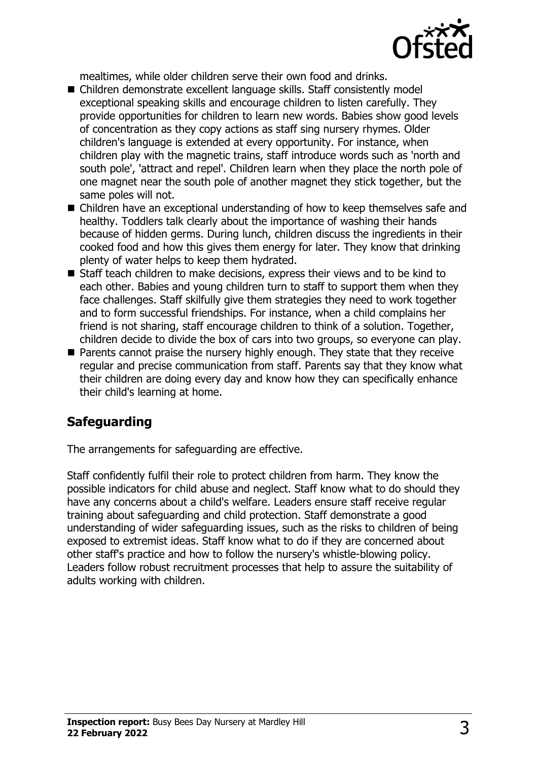

mealtimes, while older children serve their own food and drinks.

- Children demonstrate excellent language skills. Staff consistently model exceptional speaking skills and encourage children to listen carefully. They provide opportunities for children to learn new words. Babies show good levels of concentration as they copy actions as staff sing nursery rhymes. Older children's language is extended at every opportunity. For instance, when children play with the magnetic trains, staff introduce words such as 'north and south pole', 'attract and repel'. Children learn when they place the north pole of one magnet near the south pole of another magnet they stick together, but the same poles will not.
- $\blacksquare$  Children have an exceptional understanding of how to keep themselves safe and healthy. Toddlers talk clearly about the importance of washing their hands because of hidden germs. During lunch, children discuss the ingredients in their cooked food and how this gives them energy for later. They know that drinking plenty of water helps to keep them hydrated.
- $\blacksquare$  Staff teach children to make decisions, express their views and to be kind to each other. Babies and young children turn to staff to support them when they face challenges. Staff skilfully give them strategies they need to work together and to form successful friendships. For instance, when a child complains her friend is not sharing, staff encourage children to think of a solution. Together, children decide to divide the box of cars into two groups, so everyone can play.
- $\blacksquare$  Parents cannot praise the nursery highly enough. They state that they receive regular and precise communication from staff. Parents say that they know what their children are doing every day and know how they can specifically enhance their child's learning at home.

# **Safeguarding**

The arrangements for safeguarding are effective.

Staff confidently fulfil their role to protect children from harm. They know the possible indicators for child abuse and neglect. Staff know what to do should they have any concerns about a child's welfare. Leaders ensure staff receive regular training about safeguarding and child protection. Staff demonstrate a good understanding of wider safeguarding issues, such as the risks to children of being exposed to extremist ideas. Staff know what to do if they are concerned about other staff's practice and how to follow the nursery's whistle-blowing policy. Leaders follow robust recruitment processes that help to assure the suitability of adults working with children.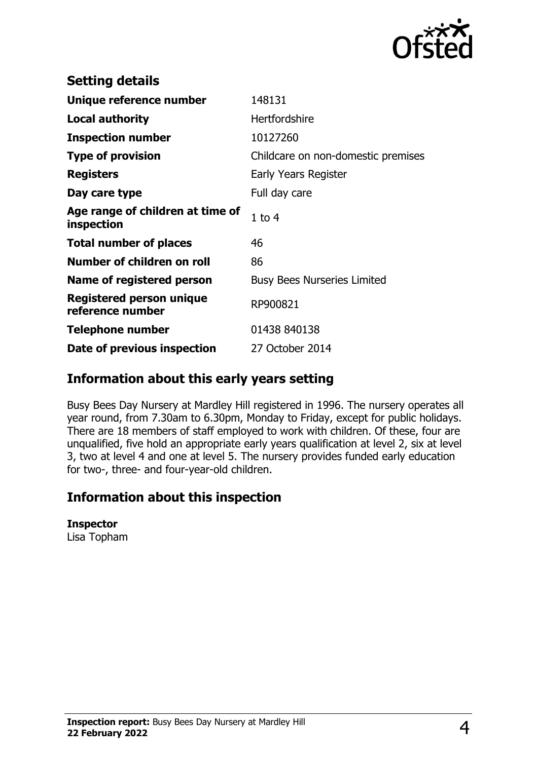

| <b>Setting details</b>                              |                                    |
|-----------------------------------------------------|------------------------------------|
| Unique reference number                             | 148131                             |
| Local authority                                     | Hertfordshire                      |
| <b>Inspection number</b>                            | 10127260                           |
| <b>Type of provision</b>                            | Childcare on non-domestic premises |
| <b>Registers</b>                                    | Early Years Register               |
| Day care type                                       | Full day care                      |
| Age range of children at time of<br>inspection      | $1$ to $4$                         |
| <b>Total number of places</b>                       | 46                                 |
| Number of children on roll                          | 86                                 |
| Name of registered person                           | <b>Busy Bees Nurseries Limited</b> |
| <b>Registered person unique</b><br>reference number | RP900821                           |
| Telephone number                                    | 01438 840138                       |
| Date of previous inspection                         | 27 October 2014                    |

# **Information about this early years setting**

Busy Bees Day Nursery at Mardley Hill registered in 1996. The nursery operates all year round, from 7.30am to 6.30pm, Monday to Friday, except for public holidays. There are 18 members of staff employed to work with children. Of these, four are unqualified, five hold an appropriate early years qualification at level 2, six at level 3, two at level 4 and one at level 5. The nursery provides funded early education for two-, three- and four-year-old children.

# **Information about this inspection**

#### **Inspector**

Lisa Topham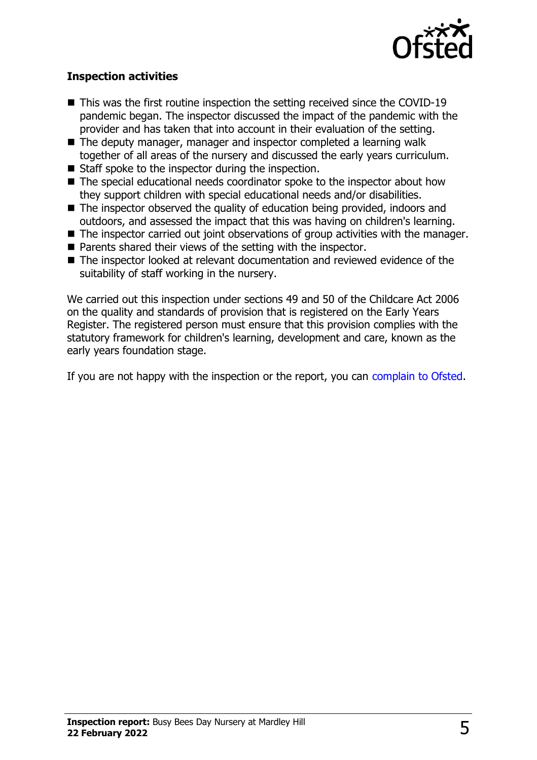

### **Inspection activities**

- $\blacksquare$  This was the first routine inspection the setting received since the COVID-19 pandemic began. The inspector discussed the impact of the pandemic with the provider and has taken that into account in their evaluation of the setting.
- The deputy manager, manager and inspector completed a learning walk together of all areas of the nursery and discussed the early years curriculum.
- $\blacksquare$  Staff spoke to the inspector during the inspection.
- $\blacksquare$  The special educational needs coordinator spoke to the inspector about how they support children with special educational needs and/or disabilities.
- The inspector observed the quality of education being provided, indoors and outdoors, and assessed the impact that this was having on children's learning.
- $\blacksquare$  The inspector carried out joint observations of group activities with the manager.
- $\blacksquare$  Parents shared their views of the setting with the inspector.
- The inspector looked at relevant documentation and reviewed evidence of the suitability of staff working in the nursery.

We carried out this inspection under sections 49 and 50 of the Childcare Act 2006 on the quality and standards of provision that is registered on the Early Years Register. The registered person must ensure that this provision complies with the statutory framework for children's learning, development and care, known as the early years foundation stage.

If you are not happy with the inspection or the report, you can [complain to Ofsted](http://www.gov.uk/complain-ofsted-report).